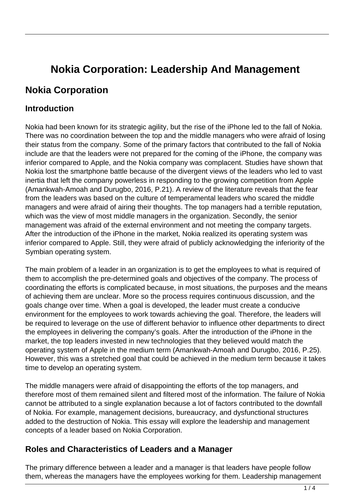# **Nokia Corporation: Leadership And Management**

# **Nokia Corporation**

#### **Introduction**

Nokia had been known for its strategic agility, but the rise of the iPhone led to the fall of Nokia. There was no coordination between the top and the middle managers who were afraid of losing their status from the company. Some of the primary factors that contributed to the fall of Nokia include are that the leaders were not prepared for the coming of the iPhone, the company was inferior compared to Apple, and the Nokia company was complacent. Studies have shown that Nokia lost the smartphone battle because of the divergent views of the leaders who led to vast inertia that left the company powerless in responding to the growing competition from Apple (Amankwah-Amoah and Durugbo, 2016, P.21). A review of the literature reveals that the fear from the leaders was based on the culture of temperamental leaders who scared the middle managers and were afraid of airing their thoughts. The top managers had a terrible reputation, which was the view of most middle managers in the organization. Secondly, the senior management was afraid of the external environment and not meeting the company targets. After the introduction of the iPhone in the market, Nokia realized its operating system was inferior compared to Apple. Still, they were afraid of publicly acknowledging the inferiority of the Symbian operating system.

The main problem of a leader in an organization is to get the employees to what is required of them to accomplish the pre-determined goals and objectives of the company. The process of coordinating the efforts is complicated because, in most situations, the purposes and the means of achieving them are unclear. More so the process requires continuous discussion, and the goals change over time. When a goal is developed, the leader must create a conducive environment for the employees to work towards achieving the goal. Therefore, the leaders will be required to leverage on the use of different behavior to influence other departments to direct the employees in delivering the company's goals. After the introduction of the iPhone in the market, the top leaders invested in new technologies that they believed would match the operating system of Apple in the medium term (Amankwah-Amoah and Durugbo, 2016, P.25). However, this was a stretched goal that could be achieved in the medium term because it takes time to develop an operating system.

The middle managers were afraid of disappointing the efforts of the top managers, and therefore most of them remained silent and filtered most of the information. The failure of Nokia cannot be attributed to a single explanation because a lot of factors contributed to the downfall of Nokia. For example, management decisions, bureaucracy, and dysfunctional structures added to the destruction of Nokia. This essay will explore the leadership and management concepts of a leader based on Nokia Corporation.

#### **Roles and Characteristics of Leaders and a Manager**

The primary difference between a leader and a manager is that leaders have people follow them, whereas the managers have the employees working for them. Leadership management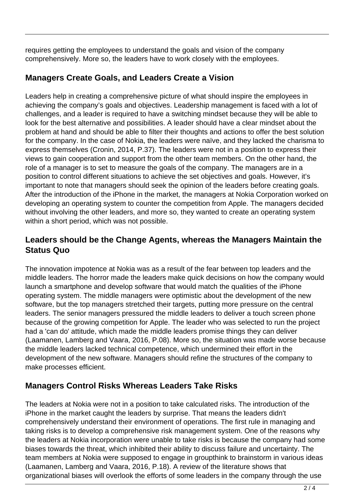requires getting the employees to understand the goals and vision of the company comprehensively. More so, the leaders have to work closely with the employees.

# **Managers Create Goals, and Leaders Create a Vision**

Leaders help in creating a comprehensive picture of what should inspire the employees in achieving the company's goals and objectives. Leadership management is faced with a lot of challenges, and a leader is required to have a switching mindset because they will be able to look for the best alternative and possibilities. A leader should have a clear mindset about the problem at hand and should be able to filter their thoughts and actions to offer the best solution for the company. In the case of Nokia, the leaders were naïve, and they lacked the charisma to express themselves (Cronin, 2014, P.37). The leaders were not in a position to express their views to gain cooperation and support from the other team members. On the other hand, the role of a manager is to set to measure the goals of the company. The managers are in a position to control different situations to achieve the set objectives and goals. However, it's important to note that managers should seek the opinion of the leaders before creating goals. After the introduction of the iPhone in the market, the managers at Nokia Corporation worked on developing an operating system to counter the competition from Apple. The managers decided without involving the other leaders, and more so, they wanted to create an operating system within a short period, which was not possible.

## **Leaders should be the Change Agents, whereas the Managers Maintain the Status Quo**

The innovation impotence at Nokia was as a result of the fear between top leaders and the middle leaders. The horror made the leaders make quick decisions on how the company would launch a smartphone and develop software that would match the qualities of the iPhone operating system. The middle managers were optimistic about the development of the new software, but the top managers stretched their targets, putting more pressure on the central leaders. The senior managers pressured the middle leaders to deliver a touch screen phone because of the growing competition for Apple. The leader who was selected to run the project had a 'can do' attitude, which made the middle leaders promise things they can deliver (Laamanen, Lamberg and Vaara, 2016, P.08). More so, the situation was made worse because the middle leaders lacked technical competence, which undermined their effort in the development of the new software. Managers should refine the structures of the company to make processes efficient.

# **Managers Control Risks Whereas Leaders Take Risks**

The leaders at Nokia were not in a position to take calculated risks. The introduction of the iPhone in the market caught the leaders by surprise. That means the leaders didn't comprehensively understand their environment of operations. The first rule in managing and taking risks is to develop a comprehensive risk management system. One of the reasons why the leaders at Nokia incorporation were unable to take risks is because the company had some biases towards the threat, which inhibited their ability to discuss failure and uncertainty. The team members at Nokia were supposed to engage in groupthink to brainstorm in various ideas (Laamanen, Lamberg and Vaara, 2016, P.18). A review of the literature shows that organizational biases will overlook the efforts of some leaders in the company through the use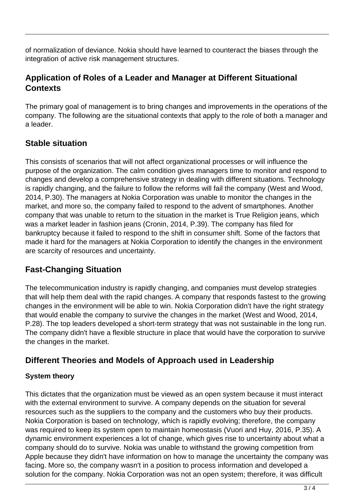of normalization of deviance. Nokia should have learned to counteract the biases through the integration of active risk management structures.

#### **Application of Roles of a Leader and Manager at Different Situational Contexts**

The primary goal of management is to bring changes and improvements in the operations of the company. The following are the situational contexts that apply to the role of both a manager and a leader.

## **Stable situation**

This consists of scenarios that will not affect organizational processes or will influence the purpose of the organization. The calm condition gives managers time to monitor and respond to changes and develop a comprehensive strategy in dealing with different situations. Technology is rapidly changing, and the failure to follow the reforms will fail the company (West and Wood, 2014, P.30). The managers at Nokia Corporation was unable to monitor the changes in the market, and more so, the company failed to respond to the advent of smartphones. Another company that was unable to return to the situation in the market is True Religion jeans, which was a market leader in fashion jeans (Cronin, 2014, P.39). The company has filed for bankruptcy because it failed to respond to the shift in consumer shift. Some of the factors that made it hard for the managers at Nokia Corporation to identify the changes in the environment are scarcity of resources and uncertainty.

#### **Fast-Changing Situation**

The telecommunication industry is rapidly changing, and companies must develop strategies that will help them deal with the rapid changes. A company that responds fastest to the growing changes in the environment will be able to win. Nokia Corporation didn't have the right strategy that would enable the company to survive the changes in the market (West and Wood, 2014, P.28). The top leaders developed a short-term strategy that was not sustainable in the long run. The company didn't have a flexible structure in place that would have the corporation to survive the changes in the market.

# **Different Theories and Models of Approach used in Leadership**

#### **System theory**

This dictates that the organization must be viewed as an open system because it must interact with the external environment to survive. A company depends on the situation for several resources such as the suppliers to the company and the customers who buy their products. Nokia Corporation is based on technology, which is rapidly evolving; therefore, the company was required to keep its system open to maintain homeostasis (Vuori and Huy, 2016, P.35). A dynamic environment experiences a lot of change, which gives rise to uncertainty about what a company should do to survive. Nokia was unable to withstand the growing competition from Apple because they didn't have information on how to manage the uncertainty the company was facing. More so, the company wasn't in a position to process information and developed a solution for the company. Nokia Corporation was not an open system; therefore, it was difficult